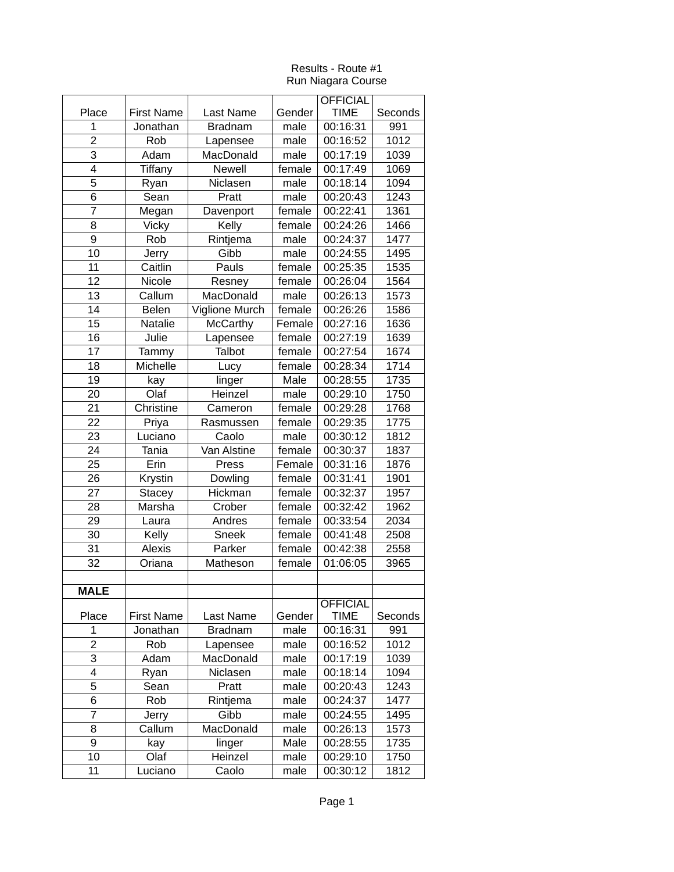|                |                               |                       |              | <b>OFFICIAL</b>         |                |
|----------------|-------------------------------|-----------------------|--------------|-------------------------|----------------|
| Place          | <b>First Name</b>             | <b>Last Name</b>      | Gender       | <b>TIME</b>             | Seconds        |
| 1              | Jonathan                      | <b>Bradnam</b>        | male         | 00:16:31                | 991            |
| $\overline{2}$ | Rob                           | Lapensee              | male         | 00:16:52                | 1012           |
| 3              | Adam                          | MacDonald             | male         | 00:17:19                | 1039           |
| 4              | <b>Tiffany</b>                | Newell                | female       | 00:17:49                | 1069           |
| 5              | Ryan                          | Niclasen              | male         | 00:18:14                | 1094           |
| 6              | Sean                          | Pratt                 | male         | 00:20:43                | 1243           |
| $\overline{7}$ | Megan                         | Davenport             | female       | 00:22:41                | 1361           |
| 8              | <b>Vicky</b>                  | Kelly                 | female       | 00:24:26                | 1466           |
| 9              | Rob                           | Rintjema              | male         | 00:24:37                | 1477           |
| 10             | <b>Jerry</b>                  | Gibb                  | male         | 00:24:55                | 1495           |
| 11             | Caitlin                       | Pauls                 | female       | 00:25:35                | 1535           |
| 12             | Nicole                        | Resney                | female       | 00:26:04                | 1564           |
| 13             | Callum                        | MacDonald             | male         | 00:26:13                | 1573           |
| 14             | <b>Belen</b>                  | Viglione Murch        | female       | 00:26:26                | 1586           |
| 15             | Natalie                       | <b>McCarthy</b>       | Female       | 00:27:16                | 1636           |
| 16             | Julie                         | Lapensee              | female       | 00:27:19                | 1639           |
| 17             | Tammy                         | <b>Talbot</b>         | female       | 00:27:54                | 1674           |
| 18             | Michelle                      | Lucy                  | female       | 00:28:34                | 1714           |
| 19             | kay                           | linger                | Male         | 00:28:55                | 1735           |
| 20             | Olaf                          | Heinzel               | male         | 00:29:10                | 1750           |
| 21             | Christine                     | Cameron               | female       | 00:29:28                | 1768           |
| 22             | Priya                         | Rasmussen             | female       | 00:29:35                | 1775           |
| 23             | Luciano                       | Caolo                 | male         | 00:30:12                | 1812           |
| 24             | <b>Tania</b>                  | Van Alstine           | female       | 00:30:37                | 1837           |
| 25             | Erin                          | Press                 | Female       | 00:31:16                | 1876           |
| 26             | Krystin                       | Dowling               | female       | 00:31:41                | 1901           |
| 27             | <b>Stacey</b>                 | Hickman               | female       | 00:32:37                | 1957           |
| 28             | Marsha                        | Crober                | female       | 00:32:42                | 1962           |
| 29             | Laura                         | Andres                | female       | 00:33:54                | 2034           |
| 30             | Kelly                         | Sneek                 | female       | 00:41:48                | 2508           |
| 31             | <b>Alexis</b>                 | Parker                | female       | 00:42:38                | 2558           |
| 32             | Oriana                        | Matheson              | female       | 01:06:05                | 3965           |
|                |                               |                       |              |                         |                |
| <b>MALE</b>    |                               |                       |              |                         |                |
|                |                               |                       |              | <b>OFFICIAL</b>         |                |
| Place<br>1     | <b>First Name</b><br>Jonathan | Last Name             | Gender       | <b>TIME</b><br>00:16:31 | Seconds<br>991 |
| $\overline{c}$ | Rob                           | <b>Bradnam</b>        | male         | 00:16:52                | 1012           |
| 3              | Adam                          | Lapensee<br>MacDonald | male<br>male | 00:17:19                | 1039           |
| 4              |                               |                       |              |                         |                |
| 5              | Ryan<br>Sean                  | Niclasen<br>Pratt     | male<br>male | 00:18:14<br>00:20:43    | 1094<br>1243   |
| 6              |                               |                       |              |                         |                |
| $\overline{7}$ | Rob                           | Rintjema<br>Gibb      | male         | 00:24:37                | 1477           |
|                | <b>Jerry</b>                  |                       | male         | 00:24:55                | 1495           |
| 8<br>9         | Callum                        | MacDonald             | male<br>Male | 00:26:13<br>00:28:55    | 1573<br>1735   |
|                | kay<br>Olaf                   | linger<br>Heinzel     |              |                         |                |
| 10<br>11       |                               |                       | male         | 00:29:10                | 1750           |
|                | Luciano                       | Caolo                 | male         | 00:30:12                | 1812           |

## Results - Route #1 Run Niagara Course